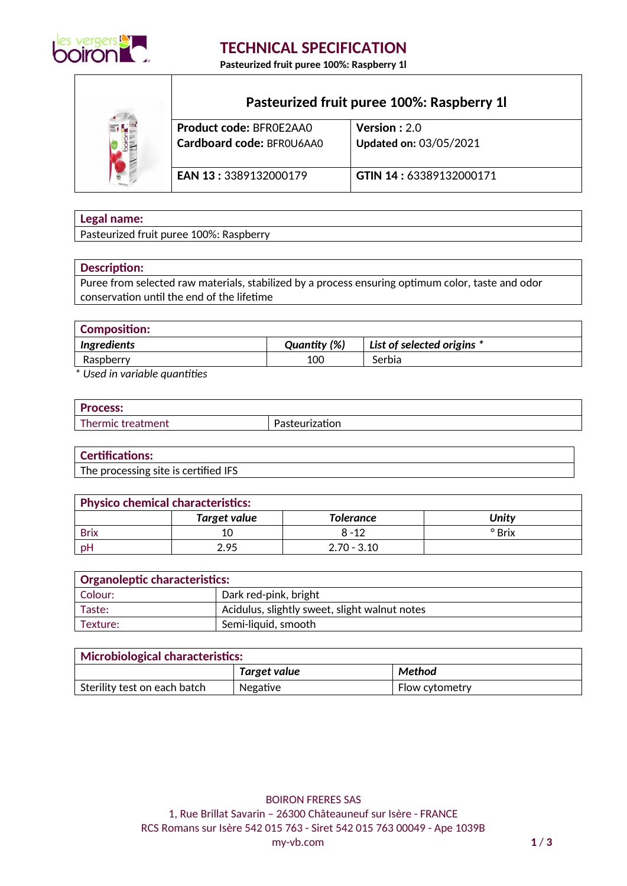

## **TECHNICAL SPECIFICATION**

**Pasteurized fruit puree 100%: Raspberry 1l**



# **Pasteurized fruit puree 100%: Raspberry 1l**

| <b>Product code: BFROE2AAO</b> | <b>Version</b> : $2.0$        |
|--------------------------------|-------------------------------|
| Cardboard code: BFROU6AA0      | <b>Updated on: 03/05/2021</b> |
| <b>EAN 13: 3389132000179</b>   | GTIN 14:63389132000171        |

### **Legal name:**

Pasteurized fruit puree 100%: Raspberry

#### **Description:**

Puree from selected raw materials, stabilized by a process ensuring optimum color, taste and odor conservation until the end of the lifetime

| <b>Composition:</b> |              |                              |
|---------------------|--------------|------------------------------|
| <b>Ingredients</b>  | Quantity (%) | List of selected origins $*$ |
| Raspberry           | 100          | Serbia                       |
| .<br>$\cdot$        |              |                              |

*\* Used in variable quantities*

| n.<br>.cos. |        |
|-------------|--------|
|             | -<br>л |

#### **Certifications:**

The processing site is certified IFS

| <b>Physico chemical characteristics:</b> |                     |                  |        |
|------------------------------------------|---------------------|------------------|--------|
|                                          | <b>Target value</b> | <b>Tolerance</b> | Unity  |
| <b>Brix</b>                              |                     | $8 - 12$         | ° Brix |
| pΗ                                       | 2.95                | $2.70 - 3.10$    |        |

| $^\circ$ Organoleptic characteristics: |                                               |  |
|----------------------------------------|-----------------------------------------------|--|
| Colour:                                | Dark red-pink, bright                         |  |
| Taste:                                 | Acidulus, slightly sweet, slight walnut notes |  |
| Semi-liquid, smooth<br>Texture:        |                                               |  |

| Microbiological characteristics: |              |                |
|----------------------------------|--------------|----------------|
|                                  | Target value | Method         |
| Sterility test on each batch     | Negative     | Flow cytometry |

BOIRON FRERES SAS 1, Rue Brillat Savarin – 26300 Châteauneuf sur Isère - FRANCE RCS Romans sur Isère 542 015 763 - Siret 542 015 763 00049 - Ape 1039B my-vb.com **1** / **3**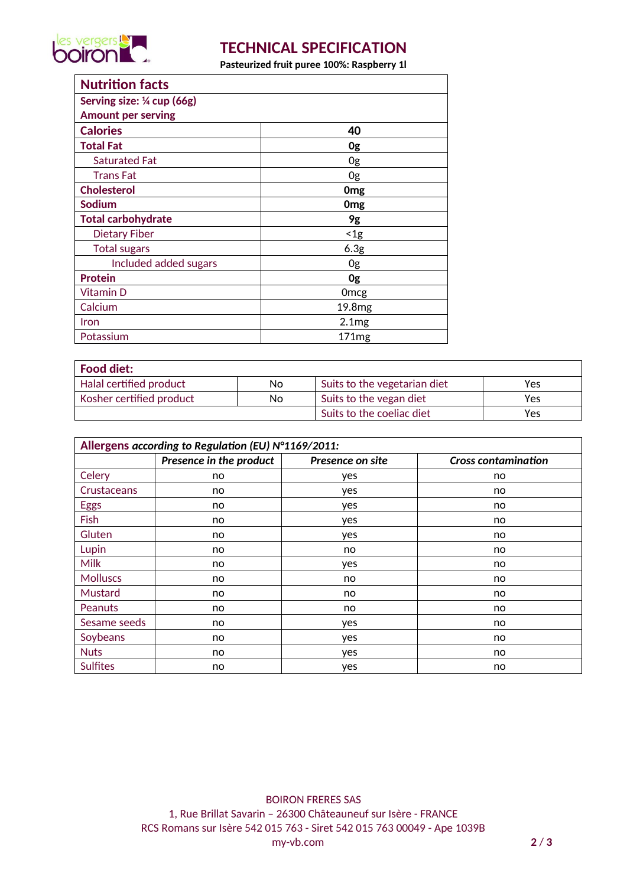

# **TECHNICAL SPECIFICATION**

**Pasteurized fruit puree 100%: Raspberry 1l**

| <b>Nutrition facts</b>    |                    |
|---------------------------|--------------------|
| Serving size: ¼ cup (66g) |                    |
| <b>Amount per serving</b> |                    |
| <b>Calories</b>           | 40                 |
| <b>Total Fat</b>          | 0g                 |
| <b>Saturated Fat</b>      | 0g                 |
| <b>Trans Fat</b>          | 0g                 |
| <b>Cholesterol</b>        | 0 <sub>mg</sub>    |
| Sodium                    | 0 <sub>mg</sub>    |
| <b>Total carbohydrate</b> | 9g                 |
| <b>Dietary Fiber</b>      | $<$ 1g             |
| <b>Total sugars</b>       | 6.3 <sub>g</sub>   |
| Included added sugars     | 0g                 |
| <b>Protein</b>            | 0g                 |
| Vitamin D                 | 0 <sub>mcg</sub>   |
| Calcium                   | 19.8 <sub>mg</sub> |
| Iron                      | 2.1mg              |
| Potassium                 | 171 <sub>mg</sub>  |

| ' Food diet:             |    |                              |     |
|--------------------------|----|------------------------------|-----|
| Halal certified product  | No | Suits to the vegetarian diet | Yes |
| Kosher certified product | No | Suits to the vegan diet      | Yes |
|                          |    | Suits to the coeliac diet    | Yes |

| Allergens according to Regulation (EU) N°1169/2011: |                         |                  |                            |
|-----------------------------------------------------|-------------------------|------------------|----------------------------|
|                                                     | Presence in the product | Presence on site | <b>Cross contamination</b> |
| Celery                                              | no                      | yes              | no                         |
| Crustaceans                                         | no                      | yes              | no                         |
| <b>Eggs</b>                                         | no                      | yes              | no                         |
| Fish                                                | no                      | yes              | no.                        |
| Gluten                                              | no                      | yes              | no                         |
| Lupin                                               | no                      | no               | no                         |
| <b>Milk</b>                                         | no                      | yes              | no                         |
| <b>Molluscs</b>                                     | no.                     | no               | no.                        |
| Mustard                                             | no                      | no               | no                         |
| <b>Peanuts</b>                                      | no                      | no               | no                         |
| Sesame seeds                                        | no                      | yes              | no                         |
| Soybeans                                            | no                      | yes              | no                         |
| <b>Nuts</b>                                         | no                      | yes              | no                         |
| <b>Sulfites</b>                                     | no                      | yes              | no                         |